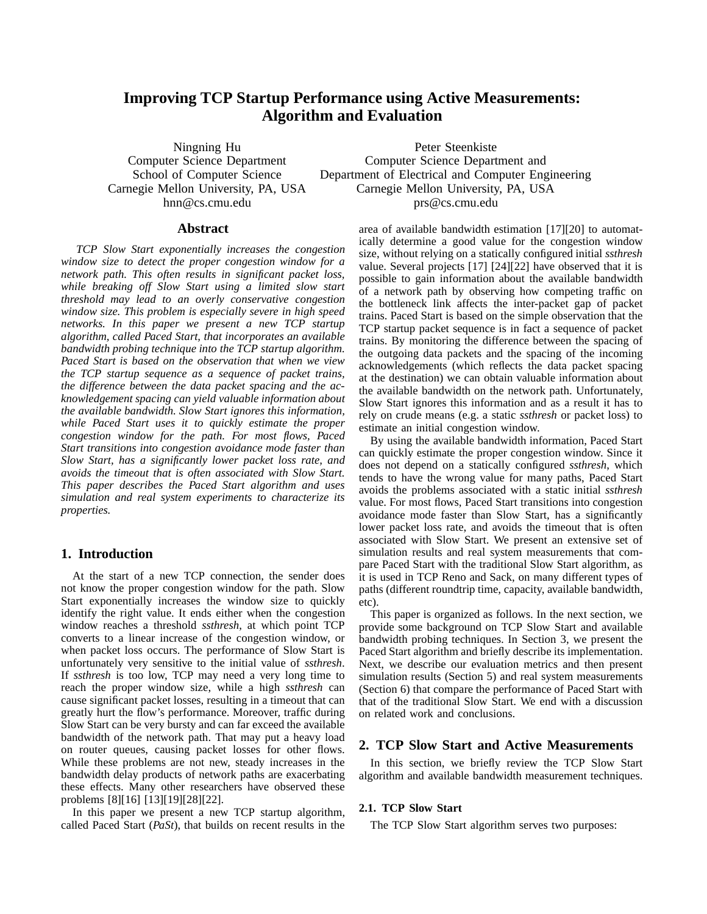# **Improving TCP Startup Performance using Active Measurements: Algorithm and Evaluation**

Ningning Hu Peter Steenkiste Computer Science Department Computer Science Department and School of Computer Science Department of Electrical and Computer Engineering Carnegie Mellon University, PA, USA Carnegie Mellon University, PA, USA hnn@cs.cmu.edu prs@cs.cmu.edu

# **Abstract**

*TCP Slow Start exponentially increases the congestion window size to detect the proper congestion window for a network path. This often results in significant packet loss, while breaking off Slow Start using a limited slow start threshold may lead to an overly conservative congestion window size. This problem is especially severe in high speed networks. In this paper we present a new TCP startup algorithm, called Paced Start, that incorporates an available bandwidth probing technique into the TCP startup algorithm. Paced Start is based on the observation that when we view the TCP startup sequence as a sequence of packet trains, the difference between the data packet spacing and the acknowledgement spacing can yield valuable information about the available bandwidth. Slow Start ignores this information, while Paced Start uses it to quickly estimate the proper congestion window for the path. For most flows, Paced Start transitions into congestion avoidance mode faster than Slow Start, has a significantly lower packet loss rate, and avoids the timeout that is often associated with Slow Start. This paper describes the Paced Start algorithm and uses simulation and real system experiments to characterize its properties.*

# **1. Introduction**

At the start of a new TCP connection, the sender does not know the proper congestion window for the path. Slow Start exponentially increases the window size to quickly identify the right value. It ends either when the congestion window reaches a threshold *ssthresh*, at which point TCP converts to a linear increase of the congestion window, or when packet loss occurs. The performance of Slow Start is unfortunately very sensitive to the initial value of *ssthresh*. If *ssthresh* is too low, TCP may need a very long time to reach the proper window size, while a high *ssthresh* can cause significant packet losses, resulting in a timeout that can greatly hurt the flow's performance. Moreover, traffic during Slow Start can be very bursty and can far exceed the available bandwidth of the network path. That may put a heavy load on router queues, causing packet losses for other flows. While these problems are not new, steady increases in the bandwidth delay products of network paths are exacerbating these effects. Many other researchers have observed these problems [8][16] [13][19][28][22].

In this paper we present a new TCP startup algorithm, called Paced Start (*PaSt*), that builds on recent results in the area of available bandwidth estimation [17][20] to automatically determine a good value for the congestion window size, without relying on a statically configured initial *ssthresh* value. Several projects [17] [24][22] have observed that it is possible to gain information about the available bandwidth of a network path by observing how competing traffic on the bottleneck link affects the inter-packet gap of packet trains. Paced Start is based on the simple observation that the TCP startup packet sequence is in fact a sequence of packet trains. By monitoring the difference between the spacing of the outgoing data packets and the spacing of the incoming acknowledgements (which reflects the data packet spacing at the destination) we can obtain valuable information about the available bandwidth on the network path. Unfortunately, Slow Start ignores this information and as a result it has to rely on crude means (e.g. a static *ssthresh* or packet loss) to estimate an initial congestion window.

By using the available bandwidth information, Paced Start can quickly estimate the proper congestion window. Since it does not depend on a statically configured *ssthresh*, which tends to have the wrong value for many paths, Paced Start avoids the problems associated with a static initial *ssthresh* value. For most flows, Paced Start transitions into congestion avoidance mode faster than Slow Start, has a significantly lower packet loss rate, and avoids the timeout that is often associated with Slow Start. We present an extensive set of simulation results and real system measurements that compare Paced Start with the traditional Slow Start algorithm, as it is used in TCP Reno and Sack, on many different types of paths (different roundtrip time, capacity, available bandwidth, etc).

This paper is organized as follows. In the next section, we provide some background on TCP Slow Start and available bandwidth probing techniques. In Section 3, we present the Paced Start algorithm and briefly describe its implementation. Next, we describe our evaluation metrics and then present simulation results (Section 5) and real system measurements (Section 6) that compare the performance of Paced Start with that of the traditional Slow Start. We end with a discussion on related work and conclusions.

# **2. TCP Slow Start and Active Measurements**

In this section, we briefly review the TCP Slow Start algorithm and available bandwidth measurement techniques.

# **2.1. TCP Slow Start**

The TCP Slow Start algorithm serves two purposes: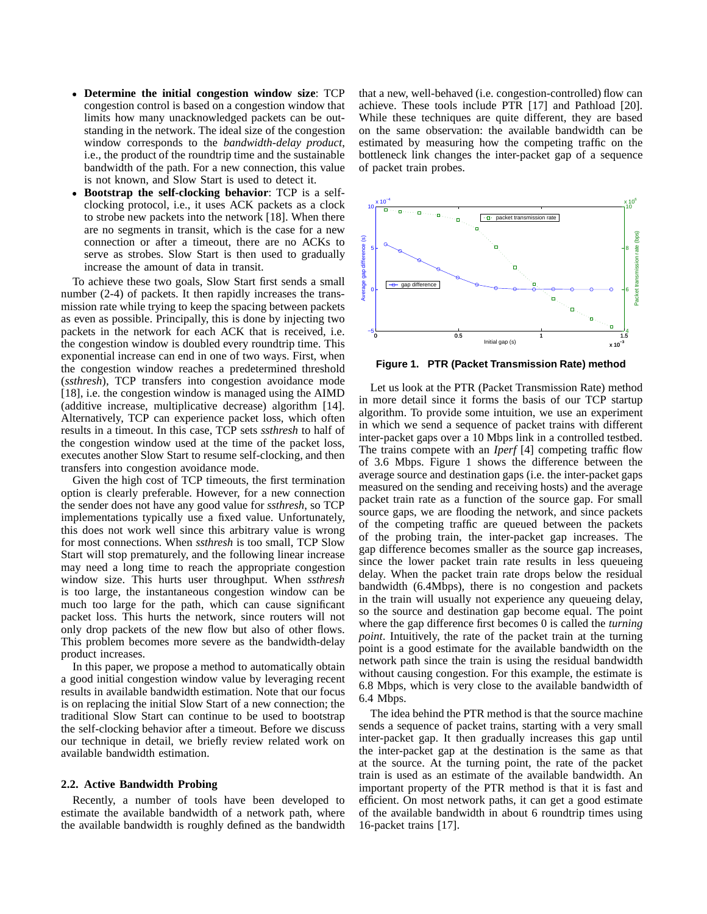- **Determine the initial congestion window size**: TCP congestion control is based on a congestion window that limits how many unacknowledged packets can be outstanding in the network. The ideal size of the congestion window corresponds to the *bandwidth-delay product*, i.e., the product of the roundtrip time and the sustainable bandwidth of the path. For a new connection, this value is not known, and Slow Start is used to detect it.
- **Bootstrap the self-clocking behavior**: TCP is a selfclocking protocol, i.e., it uses ACK packets as a clock to strobe new packets into the network [18]. When there are no segments in transit, which is the case for a new connection or after a timeout, there are no ACKs to serve as strobes. Slow Start is then used to gradually increase the amount of data in transit.

To achieve these two goals, Slow Start first sends a small number (2-4) of packets. It then rapidly increases the transmission rate while trying to keep the spacing between packets as even as possible. Principally, this is done by injecting two packets in the network for each ACK that is received, i.e. the congestion window is doubled every roundtrip time. This exponential increase can end in one of two ways. First, when the congestion window reaches a predetermined threshold (*ssthresh*), TCP transfers into congestion avoidance mode [18], i.e. the congestion window is managed using the AIMD (additive increase, multiplicative decrease) algorithm [14]. Alternatively, TCP can experience packet loss, which often results in a timeout. In this case, TCP sets *ssthresh* to half of the congestion window used at the time of the packet loss, executes another Slow Start to resume self-clocking, and then transfers into congestion avoidance mode.

Given the high cost of TCP timeouts, the first termination option is clearly preferable. However, for a new connection the sender does not have any good value for *ssthresh*, so TCP implementations typically use a fixed value. Unfortunately, this does not work well since this arbitrary value is wrong for most connections. When *ssthresh* is too small, TCP Slow Start will stop prematurely, and the following linear increase may need a long time to reach the appropriate congestion window size. This hurts user throughput. When *ssthresh* is too large, the instantaneous congestion window can be much too large for the path, which can cause significant packet loss. This hurts the network, since routers will not only drop packets of the new flow but also of other flows. This problem becomes more severe as the bandwidth-delay product increases.

In this paper, we propose a method to automatically obtain a good initial congestion window value by leveraging recent results in available bandwidth estimation. Note that our focus is on replacing the initial Slow Start of a new connection; the traditional Slow Start can continue to be used to bootstrap the self-clocking behavior after a timeout. Before we discuss our technique in detail, we briefly review related work on available bandwidth estimation.

#### **2.2. Active Bandwidth Probing**

Recently, a number of tools have been developed to estimate the available bandwidth of a network path, where the available bandwidth is roughly defined as the bandwidth that a new, well-behaved (i.e. congestion-controlled) flow can achieve. These tools include PTR [17] and Pathload [20]. While these techniques are quite different, they are based on the same observation: the available bandwidth can be estimated by measuring how the competing traffic on the bottleneck link changes the inter-packet gap of a sequence of packet train probes.



**Figure 1. PTR (Packet Transmission Rate) method**

Let us look at the PTR (Packet Transmission Rate) method in more detail since it forms the basis of our TCP startup algorithm. To provide some intuition, we use an experiment in which we send a sequence of packet trains with different inter-packet gaps over a 10 Mbps link in a controlled testbed. The trains compete with an *Iperf* [4] competing traffic flow of 3.6 Mbps. Figure 1 shows the difference between the average source and destination gaps (i.e. the inter-packet gaps measured on the sending and receiving hosts) and the average packet train rate as a function of the source gap. For small source gaps, we are flooding the network, and since packets of the competing traffic are queued between the packets of the probing train, the inter-packet gap increases. The gap difference becomes smaller as the source gap increases, since the lower packet train rate results in less queueing delay. When the packet train rate drops below the residual bandwidth (6.4Mbps), there is no congestion and packets in the train will usually not experience any queueing delay, so the source and destination gap become equal. The point where the gap difference first becomes 0 is called the *turning point*. Intuitively, the rate of the packet train at the turning point is a good estimate for the available bandwidth on the network path since the train is using the residual bandwidth without causing congestion. For this example, the estimate is 6.8 Mbps, which is very close to the available bandwidth of 6.4 Mbps.

The idea behind the PTR method is that the source machine sends a sequence of packet trains, starting with a very small inter-packet gap. It then gradually increases this gap until the inter-packet gap at the destination is the same as that at the source. At the turning point, the rate of the packet train is used as an estimate of the available bandwidth. An important property of the PTR method is that it is fast and efficient. On most network paths, it can get a good estimate of the available bandwidth in about 6 roundtrip times using 16-packet trains [17].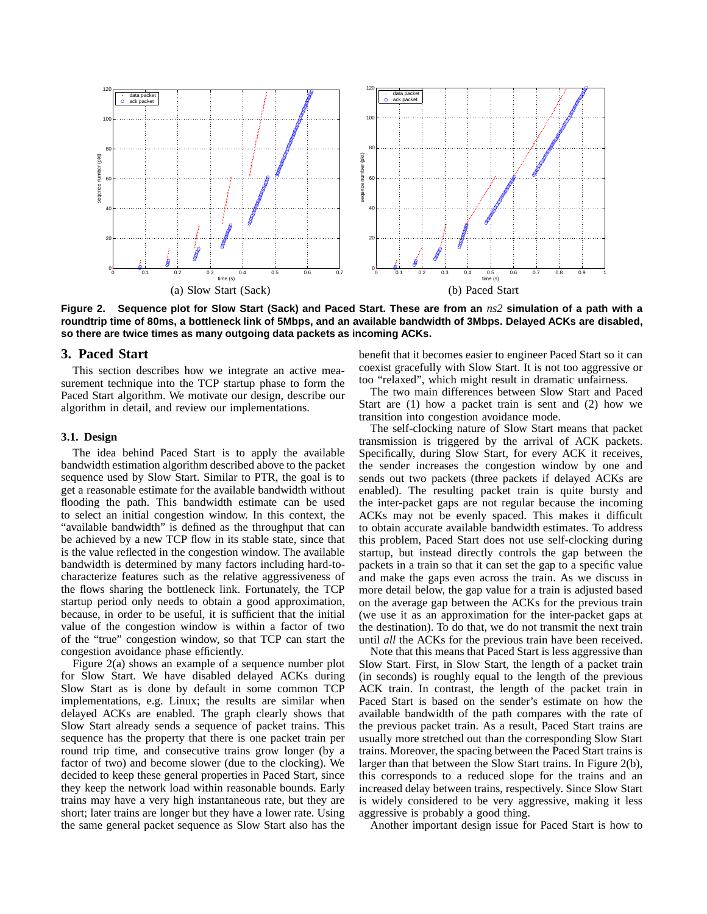

Figure 2. Sequence plot for Slow Start (Sack) and Paced Start. These are from an ns2 simulation of a path with a roundtrip time of 80ms, a bottleneck link of 5Mbps, and an available bandwidth of 3Mbps. Delayed ACKs are disabled, **so there are twice times as many outgoing data packets as incoming ACKs.**

# **3. Paced Start**

This section describes how we integrate an active measurement technique into the TCP startup phase to form the Paced Start algorithm. We motivate our design, describe our algorithm in detail, and review our implementations.

# **3.1. Design**

The idea behind Paced Start is to apply the available bandwidth estimation algorithm described above to the packet sequence used by Slow Start. Similar to PTR, the goal is to get a reasonable estimate for the available bandwidth without flooding the path. This bandwidth estimate can be used to select an initial congestion window. In this context, the "available bandwidth" is defined as the throughput that can be achieved by a new TCP flow in its stable state, since that is the value reflected in the congestion window. The available bandwidth is determined by many factors including hard-tocharacterize features such as the relative aggressiveness of the flows sharing the bottleneck link. Fortunately, the TCP startup period only needs to obtain a good approximation, because, in order to be useful, it is sufficient that the initial value of the congestion window is within a factor of two of the "true" congestion window, so that TCP can start the congestion avoidance phase efficiently.

Figure 2(a) shows an example of a sequence number plot for Slow Start. We have disabled delayed ACKs during Slow Start as is done by default in some common TCP implementations, e.g. Linux; the results are similar when delayed ACKs are enabled. The graph clearly shows that Slow Start already sends a sequence of packet trains. This sequence has the property that there is one packet train per round trip time, and consecutive trains grow longer (by a factor of two) and become slower (due to the clocking). We decided to keep these general properties in Paced Start, since they keep the network load within reasonable bounds. Early trains may have a very high instantaneous rate, but they are short; later trains are longer but they have a lower rate. Using the same general packet sequence as Slow Start also has the

benefit that it becomes easier to engineer Paced Start so it can coexist gracefully with Slow Start. It is not too aggressive or too "relaxed", which might result in dramatic unfairness.

The two main differences between Slow Start and Paced Start are (1) how a packet train is sent and (2) how we transition into congestion avoidance mode.

The self-clocking nature of Slow Start means that packet transmission is triggered by the arrival of ACK packets. Specifically, during Slow Start, for every ACK it receives, the sender increases the congestion window by one and sends out two packets (three packets if delayed ACKs are enabled). The resulting packet train is quite bursty and the inter-packet gaps are not regular because the incoming ACKs may not be evenly spaced. This makes it difficult to obtain accurate available bandwidth estimates. To address this problem, Paced Start does not use self-clocking during startup, but instead directly controls the gap between the packets in a train so that it can set the gap to a specific value and make the gaps even across the train. As we discuss in more detail below, the gap value for a train is adjusted based on the average gap between the ACKs for the previous train (we use it as an approximation for the inter-packet gaps at the destination). To do that, we do not transmit the next train until *all* the ACKs for the previous train have been received.

Note that this means that Paced Start is less aggressive than Slow Start. First, in Slow Start, the length of a packet train (in seconds) is roughly equal to the length of the previous ACK train. In contrast, the length of the packet train in Paced Start is based on the sender's estimate on how the available bandwidth of the path compares with the rate of the previous packet train. As a result, Paced Start trains are usually more stretched out than the corresponding Slow Start trains. Moreover, the spacing between the Paced Start trains is larger than that between the Slow Start trains. In Figure 2(b), this corresponds to a reduced slope for the trains and an increased delay between trains, respectively. Since Slow Start is widely considered to be very aggressive, making it less aggressive is probably a good thing.

Another important design issue for Paced Start is how to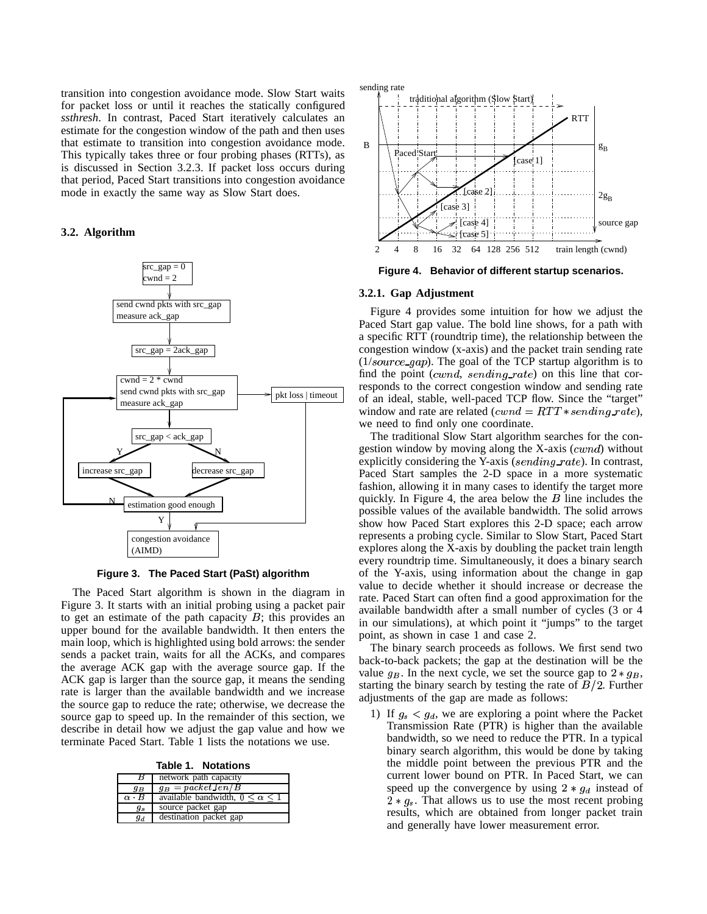transition into congestion avoidance mode. Slow Start waits for packet loss or until it reaches the statically configured *ssthresh*. In contrast, Paced Start iteratively calculates an estimate for the congestion window of the path and then uses that estimate to transition into congestion avoidance mode. This typically takes three or four probing phases (RTTs), as is discussed in Section 3.2.3. If packet loss occurs during that period, Paced Start transitions into congestion avoidance mode in exactly the same way as Slow Start does.

#### **3.2. Algorithm**



**Figure 3. The Paced Start (PaSt) algorithm**

The Paced Start algorithm is shown in the diagram in Figure 3. It starts with an initial probing using a packet pair to get an estimate of the path capacity  $B$ ; this provides an upper bound for the available bandwidth. It then enters the main loop, which is highlighted using bold arrows: the sender sends a packet train, waits for all the ACKs, and compares the average ACK gap with the average source gap. If the ACK gap is larger than the source gap, it means the sending rate is larger than the available bandwidth and we increase the source gap to reduce the rate; otherwise, we decrease the source gap to speed up. In the remainder of this section, we describe in detail how we adjust the gap value and how we terminate Paced Start. Table 1 lists the notations we use.

**Table 1. Notations**

| в                | network path capacity                       |
|------------------|---------------------------------------------|
| 9 B              | $g_B = packet \text{len}/B$                 |
| $\alpha \cdot B$ | available bandwidth, $0 \leq \alpha \leq 1$ |
| g s              | source packet gap                           |
| 9d               | destination packet gap                      |



**Figure 4. Behavior of different startup scenarios.**

#### **3.2.1. Gap Adjustment**

Figure 4 provides some intuition for how we adjust the Paced Start gap value. The bold line shows, for a path with a specific RTT (roundtrip time), the relationship between the congestion window (x-axis) and the packet train sending rate  $(1/source_qap)$ . The goal of the TCP startup algorithm is to find the point (*cwnd, sending rate*) on this line that corresponds to the correct congestion window and sending rate of an ideal, stable, well-paced TCP flow. Since the "target" window and rate are related  $(cwnd = RTT * sending_rate)$ , we need to find only one coordinate.

The traditional Slow Start algorithm searches for the congestion window by moving along the X-axis  $(cwnd)$  without explicitly considering the Y-axis ( $\text{sending}\,\text{rate}$ ). In contrast, Paced Start samples the 2-D space in a more systematic fashion, allowing it in many cases to identify the target more quickly. In Figure 4, the area below the  $B$  line includes the possible values of the available bandwidth. The solid arrows show how Paced Start explores this 2-D space; each arrow represents a probing cycle. Similar to Slow Start, Paced Start explores along the X-axis by doubling the packet train length every roundtrip time. Simultaneously, it does a binary search of the Y-axis, using information about the change in gap value to decide whether it should increase or decrease the rate. Paced Start can often find a good approximation for the available bandwidth after a small number of cycles (3 or 4 in our simulations), at which point it "jumps" to the target point, as shown in case 1 and case 2.

The binary search proceeds as follows. We first send two back-to-back packets; the gap at the destination will be the value  $g_B$ . In the next cycle, we set the source gap to  $2 * g_B$ , starting the binary search by testing the rate of  $B/2$ . Further adjustments of the gap are made as follows:

1) If  $g_s < g_d$ , we are exploring a point where the Packet Transmission Rate (PTR) is higher than the available bandwidth, so we need to reduce the PTR. In a typical binary search algorithm, this would be done by taking the middle point between the previous PTR and the current lower bound on PTR. In Paced Start, we can speed up the convergence by using  $2 * g_d$  instead of  $2 * g_s$ . That allows us to use the most recent probing results, which are obtained from longer packet train and generally have lower measurement error.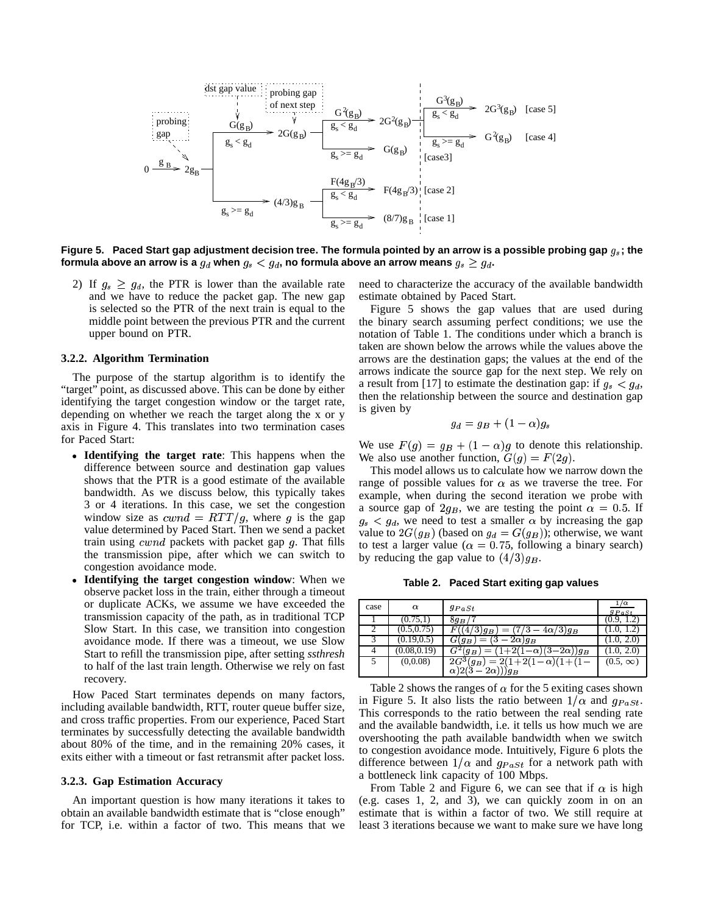

Figure 5. Paced Start gap adjustment decision tree. The formula pointed by an arrow is a possible probing gap  $q_s$ ; the  ${\bf f}$ ormula above an arrow is a  $q_d$  when  $g_s < g_d,$  no formula above an arrow means  $g_s \geq g_d.$ 

2) If  $g_s \geq g_d$ , the PTR is lower than the available rate and we have to reduce the packet gap. The new gap is selected so the PTR of the next train is equal to the middle point between the previous PTR and the current upper bound on PTR.

#### **3.2.2. Algorithm Termination**

The purpose of the startup algorithm is to identify the "target" point, as discussed above. This can be done by either identifying the target congestion window or the target rate, depending on whether we reach the target along the x or y axis in Figure 4. This translates into two termination cases for Paced Start:

- **Identifying the target rate**: This happens when the difference between source and destination gap values shows that the PTR is a good estimate of the available bandwidth. As we discuss below, this typically takes 3 or 4 iterations. In this case, we set the congestion window size as  $\text{cm}d = \text{RTT}/g$ , where  $g$  is the gap value determined by Paced Start. Then we send a packet train using  $cwnd$  packets with packet gap  $g$ . That fills the transmission pipe, after which we can switch to congestion avoidance mode.
- **Identifying the target congestion window**: When we observe packet loss in the train, either through a timeout or duplicate ACKs, we assume we have exceeded the transmission capacity of the path, as in traditional TCP Slow Start. In this case, we transition into congestion avoidance mode. If there was a timeout, we use Slow Start to refill the transmission pipe, after setting *ssthresh* to half of the last train length. Otherwise we rely on fast recovery.

How Paced Start terminates depends on many factors, including available bandwidth, RTT, router queue buffer size, and cross traffic properties. From our experience, Paced Start terminates by successfully detecting the available bandwidth about 80% of the time, and in the remaining 20% cases, it exits either with a timeout or fast retransmit after packet loss.

#### **3.2.3. Gap Estimation Accuracy**

An important question is how many iterations it takes to obtain an available bandwidth estimate that is "close enough" for TCP, i.e. within a factor of two. This means that we need to characterize the accuracy of the available bandwidth estimate obtained by Paced Start.

Figure 5 shows the gap values that are used during the binary search assuming perfect conditions; we use the notation of Table 1. The conditions under which a branch is taken are shown below the arrows while the values above the arrows are the destination gaps; the values at the end of the arrows indicate the source gap for the next step. We rely on a result from [17] to estimate the destination gap: if  $g_s < g_d$ , then the relationship between the source and destination gap is given by

$$
g_d = g_B + (1-\alpha)g_s
$$

We use  $F(g) = g_B + (1 - \alpha)g$  to denote this relationship. We also use another function,  $G(g) = F(2g)$ .

This model allows us to calculate how we narrow down the range of possible values for  $\alpha$  as we traverse the tree. For example, when during the second iteration we probe with a source gap of  $2g_B$ , we are testing the point  $\alpha = 0.5$ . If  $g_s < g_d$ , we need to test a smaller  $\alpha$  by increasing the gap value to  $2G(g_B)$  (based on  $g_d = G(g_B)$ ); otherwise, we want to test a larger value ( $\alpha = 0.75$ , following a binary search) by reducing the gap value to  $\left(\frac{4}{3}\right)g_B$ .

**Table 2. Paced Start exiting gap values**

| case | α            | $g_{PaSt}$                                  | $. / \alpha$<br>$g_{PaSt}$ |
|------|--------------|---------------------------------------------|----------------------------|
|      | (0.75,1)     | $8g_B$                                      | (0.9, 1.2                  |
|      | (0.5, 0.75)  | $=\overline{4\alpha/3}g_B$<br>$(3)$ $q_B$   | U.<br>1.2                  |
|      | (0.19, 0.5)  | $\equiv 2\alpha$ ) g <sub>B</sub><br>$=$    | 1.0, 2.0                   |
|      | (0.08, 0.19) | $(-\alpha)(3-2\alpha))g_B$<br>9 B           | (1.0, 2.0)                 |
|      | (0,0.08)     | $2G^3(g_B) = 2(1+2(1-\alpha)(1+(1-\alpha))$ | $(0.5, \infty)$            |
|      |              | $(-2\alpha)))g_B$                           |                            |

Table 2 shows the ranges of  $\alpha$  for the 5 exiting cases shown in Figure 5. It also lists the ratio between  $1/\alpha$  and  $g_{PaSt}$ . This corresponds to the ratio between the real sending rate and the available bandwidth, i.e. it tells us how much we are overshooting the path available bandwidth when we switch to congestion avoidance mode. Intuitively, Figure 6 plots the difference between  $1/\alpha$  and  $g_{PaSt}$  for a network path with a bottleneck link capacity of 100 Mbps.

From Table 2 and Figure 6, we can see that if  $\alpha$  is high (e.g. cases 1, 2, and 3), we can quickly zoom in on an estimate that is within a factor of two. We still require at least 3 iterations because we want to make sure we have long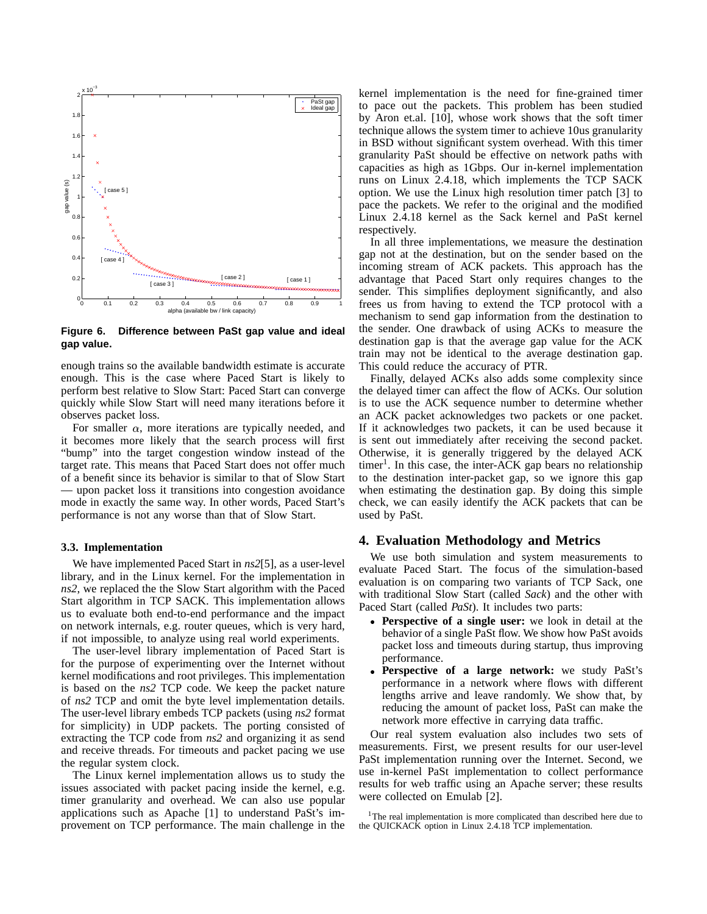

**Figure 6. Difference between PaSt gap value and ideal gap value.**

enough trains so the available bandwidth estimate is accurate enough. This is the case where Paced Start is likely to perform best relative to Slow Start: Paced Start can converge quickly while Slow Start will need many iterations before it observes packet loss.

For smaller  $\alpha$ , more iterations are typically needed, and it becomes more likely that the search process will first "bump" into the target congestion window instead of the target rate. This means that Paced Start does not offer much of a benefit since its behavior is similar to that of Slow Start — upon packet loss it transitions into congestion avoidance mode in exactly the same way. In other words, Paced Start's performance is not any worse than that of Slow Start.

#### **3.3. Implementation**

We have implemented Paced Start in *ns2*[5], as a user-level library, and in the Linux kernel. For the implementation in *ns2*, we replaced the the Slow Start algorithm with the Paced Start algorithm in TCP SACK. This implementation allows us to evaluate both end-to-end performance and the impact on network internals, e.g. router queues, which is very hard, if not impossible, to analyze using real world experiments.

The user-level library implementation of Paced Start is for the purpose of experimenting over the Internet without kernel modifications and root privileges. This implementation is based on the *ns2* TCP code. We keep the packet nature of *ns2* TCP and omit the byte level implementation details. The user-level library embeds TCP packets (using *ns2* format for simplicity) in UDP packets. The porting consisted of extracting the TCP code from *ns2* and organizing it as send and receive threads. For timeouts and packet pacing we use the regular system clock.

The Linux kernel implementation allows us to study the issues associated with packet pacing inside the kernel, e.g. timer granularity and overhead. We can also use popular applications such as Apache [1] to understand PaSt's improvement on TCP performance. The main challenge in the

kernel implementation is the need for fine-grained timer to pace out the packets. This problem has been studied by Aron et.al. [10], whose work shows that the soft timer technique allows the system timer to achieve 10us granularity in BSD without significant system overhead. With this timer granularity PaSt should be effective on network paths with capacities as high as 1Gbps. Our in-kernel implementation runs on Linux 2.4.18, which implements the TCP SACK option. We use the Linux high resolution timer patch [3] to pace the packets. We refer to the original and the modified Linux 2.4.18 kernel as the Sack kernel and PaSt kernel respectively.

In all three implementations, we measure the destination gap not at the destination, but on the sender based on the incoming stream of ACK packets. This approach has the advantage that Paced Start only requires changes to the sender. This simplifies deployment significantly, and also frees us from having to extend the TCP protocol with a mechanism to send gap information from the destination to the sender. One drawback of using ACKs to measure the destination gap is that the average gap value for the ACK train may not be identical to the average destination gap. This could reduce the accuracy of PTR.

Finally, delayed ACKs also adds some complexity since the delayed timer can affect the flow of ACKs. Our solution is to use the ACK sequence number to determine whether an ACK packet acknowledges two packets or one packet. If it acknowledges two packets, it can be used because it is sent out immediately after receiving the second packet. Otherwise, it is generally triggered by the delayed ACK timer<sup>1</sup>. In this case, the inter-ACK gap bears no relationship to the destination inter-packet gap, so we ignore this gap when estimating the destination gap. By doing this simple check, we can easily identify the ACK packets that can be used by PaSt.

## **4. Evaluation Methodology and Metrics**

We use both simulation and system measurements to evaluate Paced Start. The focus of the simulation-based evaluation is on comparing two variants of TCP Sack, one with traditional Slow Start (called *Sack*) and the other with Paced Start (called *PaSt*). It includes two parts:

- **Perspective of a single user:** we look in detail at the behavior of a single PaSt flow. We show how PaSt avoids packet loss and timeouts during startup, thus improving performance.
- **Perspective of a large network:** we study PaSt's performance in a network where flows with different lengths arrive and leave randomly. We show that, by reducing the amount of packet loss, PaSt can make the network more effective in carrying data traffic.

Our real system evaluation also includes two sets of measurements. First, we present results for our user-level PaSt implementation running over the Internet. Second, we use in-kernel PaSt implementation to collect performance results for web traffic using an Apache server; these results were collected on Emulab [2].

<sup>&</sup>lt;sup>1</sup>The real implementation is more complicated than described here due to the QUICKACK option in Linux 2.4.18 TCP implementation.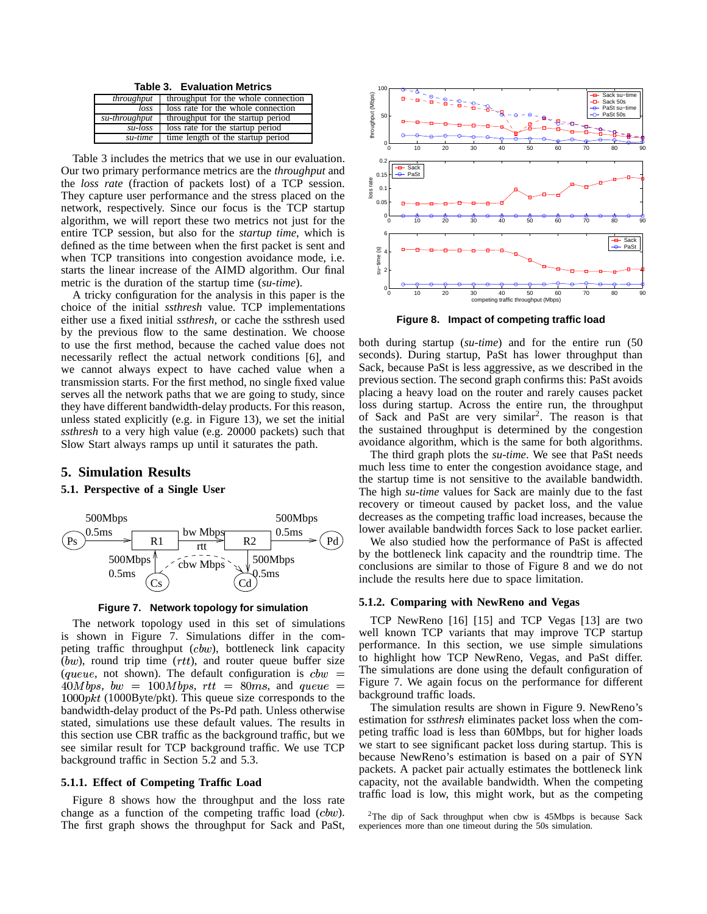**Table 3. Evaluation Metrics**

| throughput    | throughput for the whole connection |
|---------------|-------------------------------------|
| loss          | loss rate for the whole connection  |
| su-throughput | throughput for the startup period   |
| $su$ -loss    | loss rate for the startup period    |
| su-time       | time length of the startup period   |

Table 3 includes the metrics that we use in our evaluation. Our two primary performance metrics are the *throughput* and the *loss rate* (fraction of packets lost) of a TCP session. They capture user performance and the stress placed on the network, respectively. Since our focus is the TCP startup algorithm, we will report these two metrics not just for the entire TCP session, but also for the *startup time*, which is defined as the time between when the first packet is sent and when TCP transitions into congestion avoidance mode, i.e. starts the linear increase of the AIMD algorithm. Our final metric is the duration of the startup time (*su-time*).

A tricky configuration for the analysis in this paper is the choice of the initial *ssthresh* value. TCP implementations either use a fixed initial *ssthresh*, or cache the ssthresh used by the previous flow to the same destination. We choose to use the first method, because the cached value does not necessarily reflect the actual network conditions [6], and we cannot always expect to have cached value when a transmission starts. For the first method, no single fixed value serves all the network paths that we are going to study, since they have different bandwidth-delay products. For this reason, unless stated explicitly (e.g. in Figure 13), we set the initial *ssthresh* to a very high value (e.g. 20000 packets) such that Slow Start always ramps up until it saturates the path.

# **5. Simulation Results**

# **5.1. Perspective of a Single User**



**Figure 7. Network topology for simulation**

The network topology used in this set of simulations is shown in Figure 7. Simulations differ in the competing traffic throughput  $(cbw)$ , bottleneck link capacity  $(bw)$ , round trip time (*rtt*), and router queue buffer size (queue, not shown). The default configuration is  $cbw =$  The simular  $40Mbps, bw = 100Mbps, rtt = 80ms, and queue = 548$  $1000\eta k t$  (1000Byte/pkt). This queue size corresponds to the bandwidth-delay product of the Ps-Pd path. Unless otherwise stated, simulations use these default values. The results in this section use CBR traffic as the background traffic, but we see similar result for TCP background traffic. We use TCP background traffic in Section 5.2 and 5.3.

#### **5.1.1. Effect of Competing Traffic Load**

Figure 8 shows how the throughput and the loss rate change as a function of the competing traffic load  $(cbw)$ . The first graph shows the throughput for Sack and PaSt,



**Figure 8. Impact of competing traffic load**

both during startup (*su-time*) and for the entire run (50 seconds). During startup, PaSt has lower throughput than Sack, because PaSt is less aggressive, as we described in the previous section. The second graph confirms this: PaSt avoids placing a heavy load on the router and rarely causes packet loss during startup. Across the entire run, the throughput of Sack and PaSt are very similar<sup>2</sup> . The reason is that the sustained throughput is determined by the congestion avoidance algorithm, which is the same for both algorithms.

The third graph plots the *su-time*. We see that PaSt needs much less time to enter the congestion avoidance stage, and the startup time is not sensitive to the available bandwidth. The high *su-time* values for Sack are mainly due to the fast recovery or timeout caused by packet loss, and the value decreases as the competing traffic load increases, because the lower available bandwidth forces Sack to lose packet earlier.

We also studied how the performance of PaSt is affected by the bottleneck link capacity and the roundtrip time. The conclusions are similar to those of Figure 8 and we do not include the results here due to space limitation.

#### **5.1.2. Comparing with NewReno and Vegas**

TCP NewReno [16] [15] and TCP Vegas [13] are two well known TCP variants that may improve TCP startup performance. In this section, we use simple simulations to highlight how TCP NewReno, Vegas, and PaSt differ. The simulations are done using the default configuration of Figure 7. We again focus on the performance for different background traffic loads.

The simulation results are shown in Figure 9. NewReno's estimation for *ssthresh* eliminates packet loss when the competing traffic load is less than 60Mbps, but for higher loads we start to see significant packet loss during startup. This is because NewReno's estimation is based on a pair of SYN packets. A packet pair actually estimates the bottleneck link capacity, not the available bandwidth. When the competing traffic load is low, this might work, but as the competing

 $2$ The dip of Sack throughput when cbw is 45Mbps is because Sack experiences more than one timeout during the 50s simulation.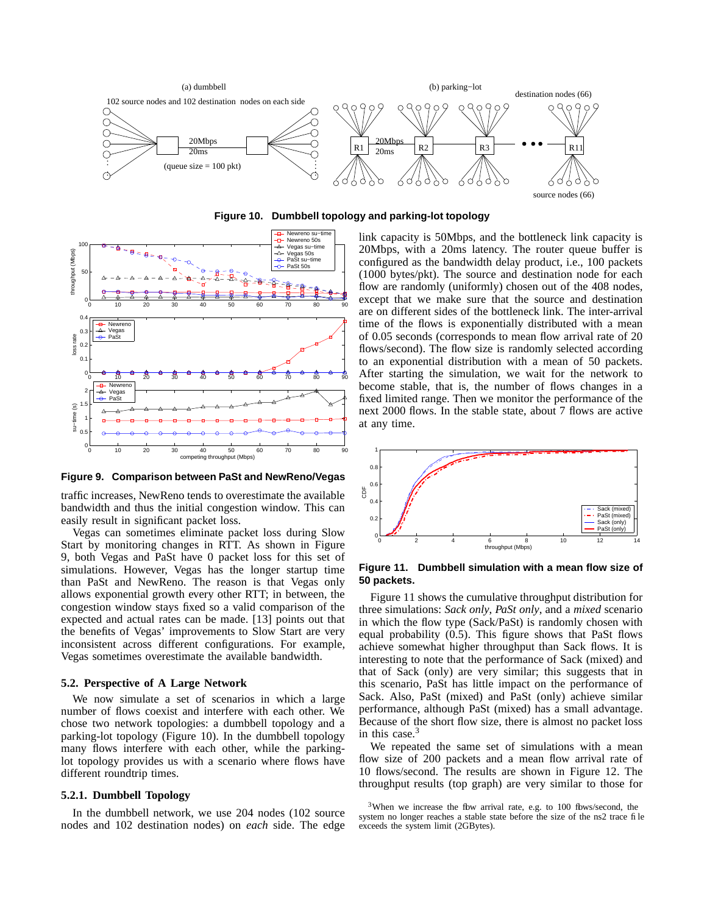

**Figure 10. Dumbbell topology and parking-lot topology**



**Figure 9. Comparison between PaSt and NewReno/Vegas**

traffic increases, NewReno tends to overestimate the available bandwidth and thus the initial congestion window. This can easily result in significant packet loss.

Vegas can sometimes eliminate packet loss during Slow Start by monitoring changes in RTT. As shown in Figure 9, both Vegas and PaSt have 0 packet loss for this set of simulations. However, Vegas has the longer startup time than PaSt and NewReno. The reason is that Vegas only allows exponential growth every other RTT; in between, the congestion window stays fixed so a valid comparison of the expected and actual rates can be made. [13] points out that the benefits of Vegas' improvements to Slow Start are very inconsistent across different configurations. For example, Vegas sometimes overestimate the available bandwidth.

## **5.2. Perspective of A Large Network**

We now simulate a set of scenarios in which a large number of flows coexist and interfere with each other. We chose two network topologies: a dumbbell topology and a parking-lot topology (Figure 10). In the dumbbell topology many flows interfere with each other, while the parkinglot topology provides us with a scenario where flows have different roundtrip times.

# **5.2.1. Dumbbell Topology**

In the dumbbell network, we use 204 nodes (102 source nodes and 102 destination nodes) on *each* side. The edge link capacity is 50Mbps, and the bottleneck link capacity is 20Mbps, with a 20ms latency. The router queue buffer is configured as the bandwidth delay product, i.e., 100 packets (1000 bytes/pkt). The source and destination node for each flow are randomly (uniformly) chosen out of the 408 nodes, except that we make sure that the source and destination are on different sides of the bottleneck link. The inter-arrival time of the flows is exponentially distributed with a mean of 0.05 seconds (corresponds to mean flow arrival rate of 20 flows/second). The flow size is randomly selected according to an exponential distribution with a mean of 50 packets. After starting the simulation, we wait for the network to become stable, that is, the number of flows changes in a fixed limited range. Then we monitor the performance of the next 2000 flows. In the stable state, about 7 flows are active at any time.



# **Figure 11. Dumbbell simulation with a mean flow size of 50 packets.**

Figure 11 shows the cumulative throughput distribution for three simulations: *Sack only*, *PaSt only*, and a *mixed* scenario in which the flow type (Sack/PaSt) is randomly chosen with equal probability (0.5). This figure shows that PaSt flows achieve somewhat higher throughput than Sack flows. It is interesting to note that the performance of Sack (mixed) and that of Sack (only) are very similar; this suggests that in this scenario, PaSt has little impact on the performance of Sack. Also, PaSt (mixed) and PaSt (only) achieve similar performance, although PaSt (mixed) has a small advantage. Because of the short flow size, there is almost no packet loss in this case. $3$ 

We repeated the same set of simulations with a mean flow size of 200 packets and a mean flow arrival rate of 10 flows/second. The results are shown in Figure 12. The throughput results (top graph) are very similar to those for

 $3$ When we increase the fbw arrival rate, e.g. to 100 fbws/second, the system no longer reaches a stable state before the size of the ns2 trace file exceeds the system limit (2GBytes).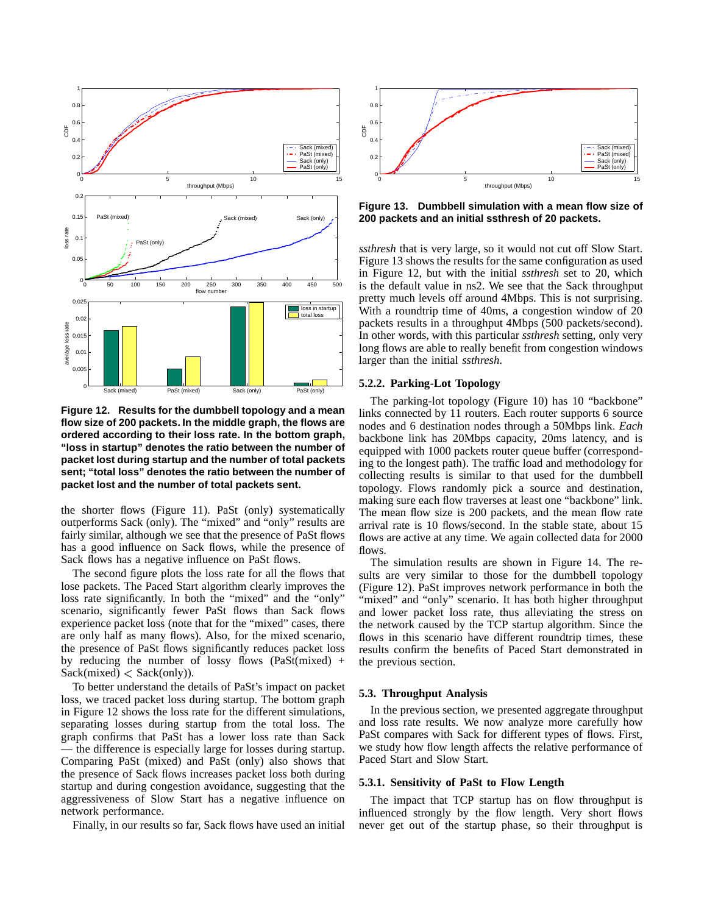

**Figure 12. Results for the dumbbell topology and a mean flow size of 200 packets. In the middle graph, the flows are ordered according to their loss rate. In the bottom graph, "loss in startup" denotes the ratio between the number of packet lost during startup and the number of total packets sent; "total loss" denotes the ratio between the number of packet lost and the number of total packets sent.**

the shorter flows (Figure 11). PaSt (only) systematically outperforms Sack (only). The "mixed" and "only" results are fairly similar, although we see that the presence of PaSt flows has a good influence on Sack flows, while the presence of Sack flows has a negative influence on PaSt flows.

The second figure plots the loss rate for all the flows that lose packets. The Paced Start algorithm clearly improves the loss rate significantly. In both the "mixed" and the "only" scenario, significantly fewer PaSt flows than Sack flows experience packet loss (note that for the "mixed" cases, there are only half as many flows). Also, for the mixed scenario, the presence of PaSt flows significantly reduces packet loss by reducing the number of lossy flows (PaSt(mixed)  $+$  $Sack(mixed) < Sack(only)$ ).

To better understand the details of PaSt's impact on packet loss, we traced packet loss during startup. The bottom graph in Figure 12 shows the loss rate for the different simulations, separating losses during startup from the total loss. The graph confirms that PaSt has a lower loss rate than Sack — the difference is especially large for losses during startup. Comparing PaSt (mixed) and PaSt (only) also shows that the presence of Sack flows increases packet loss both during startup and during congestion avoidance, suggesting that the aggressiveness of Slow Start has a negative influence on network performance.

Finally, in our results so far, Sack flows have used an initial



**Figure 13. Dumbbell simulation with a mean flow size of 200 packets and an initial ssthresh of 20 packets.**

*ssthresh* that is very large, so it would not cut off Slow Start. Figure 13 shows the results for the same configuration as used in Figure 12, but with the initial *ssthresh* set to 20, which is the default value in ns2. We see that the Sack throughput pretty much levels off around 4Mbps. This is not surprising. With a roundtrip time of 40ms, a congestion window of 20 packets results in a throughput 4Mbps (500 packets/second). In other words, with this particular *ssthresh* setting, only very long flows are able to really benefit from congestion windows larger than the initial *ssthresh*.

# **5.2.2. Parking-Lot Topology**

The parking-lot topology (Figure 10) has 10 "backbone" links connected by 11 routers. Each router supports 6 source nodes and 6 destination nodes through a 50Mbps link. *Each* backbone link has 20Mbps capacity, 20ms latency, and is equipped with 1000 packets router queue buffer (corresponding to the longest path). The traffic load and methodology for collecting results is similar to that used for the dumbbell topology. Flows randomly pick a source and destination, making sure each flow traverses at least one "backbone" link. The mean flow size is 200 packets, and the mean flow rate arrival rate is 10 flows/second. In the stable state, about 15 flows are active at any time. We again collected data for 2000 flows.

The simulation results are shown in Figure 14. The results are very similar to those for the dumbbell topology (Figure 12). PaSt improves network performance in both the "mixed" and "only" scenario. It has both higher throughput and lower packet loss rate, thus alleviating the stress on the network caused by the TCP startup algorithm. Since the flows in this scenario have different roundtrip times, these results confirm the benefits of Paced Start demonstrated in the previous section.

#### **5.3. Throughput Analysis**

In the previous section, we presented aggregate throughput and loss rate results. We now analyze more carefully how PaSt compares with Sack for different types of flows. First, we study how flow length affects the relative performance of Paced Start and Slow Start.

#### **5.3.1. Sensitivity of PaSt to Flow Length**

The impact that TCP startup has on flow throughput is influenced strongly by the flow length. Very short flows never get out of the startup phase, so their throughput is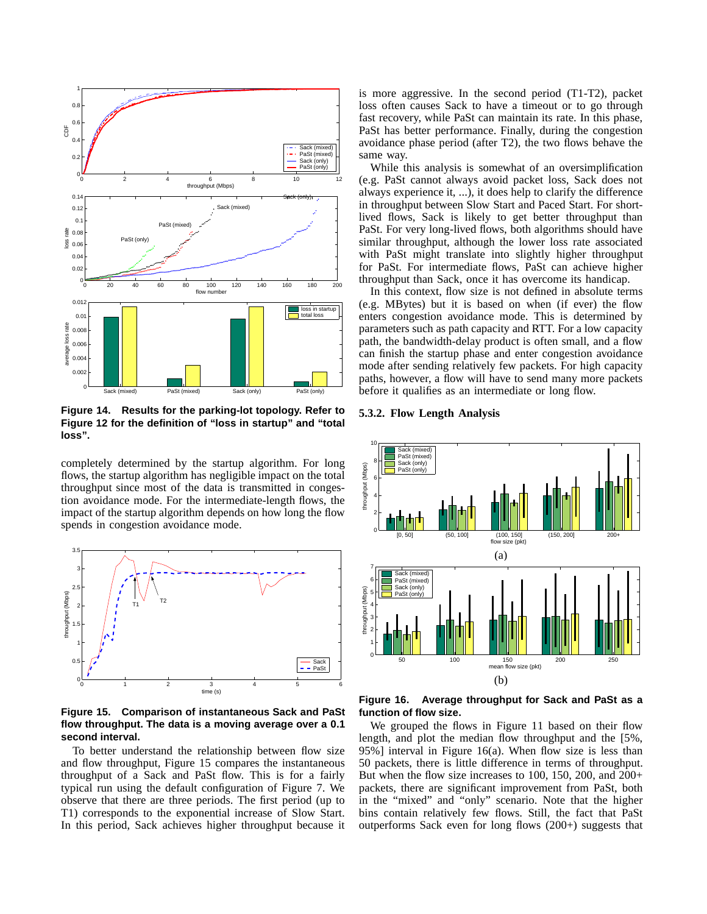

**Figure 14. Results for the parking-lot topology. Refer to Figure 12 for the definition of "loss in startup" and "total loss".**

completely determined by the startup algorithm. For long flows, the startup algorithm has negligible impact on the total throughput since most of the data is transmitted in congestion avoidance mode. For the intermediate-length flows, the impact of the startup algorithm depends on how long the flow spends in congestion avoidance mode.



**Figure 15. Comparison of instantaneous Sack and PaSt flow throughput. The data is a moving average over a 0.1 second interval.**

To better understand the relationship between flow size and flow throughput, Figure 15 compares the instantaneous throughput of a Sack and PaSt flow. This is for a fairly typical run using the default configuration of Figure 7. We observe that there are three periods. The first period (up to T1) corresponds to the exponential increase of Slow Start. In this period, Sack achieves higher throughput because it

is more aggressive. In the second period (T1-T2), packet loss often causes Sack to have a timeout or to go through fast recovery, while PaSt can maintain its rate. In this phase, PaSt has better performance. Finally, during the congestion avoidance phase period (after T2), the two flows behave the same way.

While this analysis is somewhat of an oversimplification (e.g. PaSt cannot always avoid packet loss, Sack does not always experience it, ...), it does help to clarify the difference in throughput between Slow Start and Paced Start. For shortlived flows, Sack is likely to get better throughput than PaSt. For very long-lived flows, both algorithms should have similar throughput, although the lower loss rate associated with PaSt might translate into slightly higher throughput for PaSt. For intermediate flows, PaSt can achieve higher throughput than Sack, once it has overcome its handicap.

In this context, flow size is not defined in absolute terms (e.g. MBytes) but it is based on when (if ever) the flow enters congestion avoidance mode. This is determined by parameters such as path capacity and RTT. For a low capacity path, the bandwidth-delay product is often small, and a flow can finish the startup phase and enter congestion avoidance mode after sending relatively few packets. For high capacity paths, however, a flow will have to send many more packets before it qualifies as an intermediate or long flow.

**5.3.2. Flow Length Analysis**



**Figure 16. Average throughput for Sack and PaSt as a function of flow size.**

We grouped the flows in Figure 11 based on their flow length, and plot the median flow throughput and the [5%, 95%] interval in Figure 16(a). When flow size is less than 50 packets, there is little difference in terms of throughput. But when the flow size increases to 100, 150, 200, and 200+ packets, there are significant improvement from PaSt, both in the "mixed" and "only" scenario. Note that the higher bins contain relatively few flows. Still, the fact that PaSt outperforms Sack even for long flows (200+) suggests that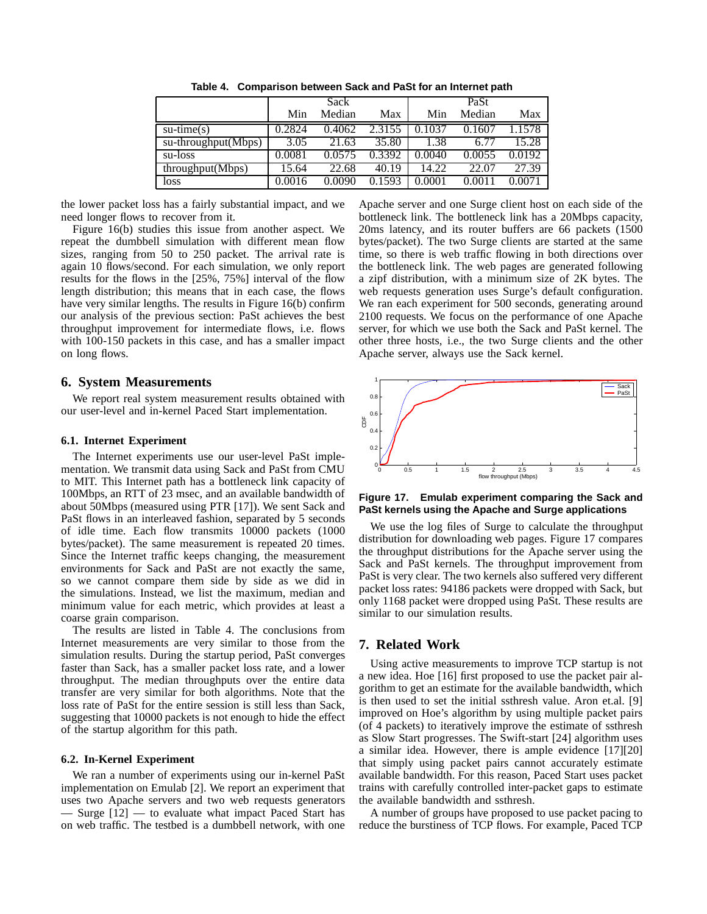|                     | Sack   |        |        | PaSt   |         |        |
|---------------------|--------|--------|--------|--------|---------|--------|
|                     | Min    | Median | Max    | Min    | Median  | Max    |
| $s$ u-time $(s)$    |        | 0.4062 | 2.3155 | 0.1037 | 0.1607  | .1578  |
| su-throughput(Mbps) | 3.05   | 21.63  | 35.80  | 1.38   | 6.77    | 15.28  |
| su-loss             | 0.0081 | 0.0575 | 0.3392 | 0.0040 | 0.0055  | 0.0192 |
| throughput(Mbps)    | 15.64  | 22.68  | 40.19  | 14.22  | 22.07   | 27.39  |
| loss                | 0.0016 | 0.0090 | 0.1593 | 0.0001 | O OO 1- |        |

**Table 4. Comparison between Sack and PaSt for an Internet path**

the lower packet loss has a fairly substantial impact, and we need longer flows to recover from it.

Figure 16(b) studies this issue from another aspect. We repeat the dumbbell simulation with different mean flow sizes, ranging from 50 to 250 packet. The arrival rate is again 10 flows/second. For each simulation, we only report results for the flows in the [25%, 75%] interval of the flow length distribution; this means that in each case, the flows have very similar lengths. The results in Figure 16(b) confirm our analysis of the previous section: PaSt achieves the best throughput improvement for intermediate flows, i.e. flows with 100-150 packets in this case, and has a smaller impact on long flows.

# **6. System Measurements**

We report real system measurement results obtained with our user-level and in-kernel Paced Start implementation.

#### **6.1. Internet Experiment**

The Internet experiments use our user-level PaSt implementation. We transmit data using Sack and PaSt from CMU to MIT. This Internet path has a bottleneck link capacity of 100Mbps, an RTT of 23 msec, and an available bandwidth of about 50Mbps (measured using PTR [17]). We sent Sack and PaSt flows in an interleaved fashion, separated by 5 seconds of idle time. Each flow transmits 10000 packets (1000 bytes/packet). The same measurement is repeated 20 times. Since the Internet traffic keeps changing, the measurement environments for Sack and PaSt are not exactly the same, so we cannot compare them side by side as we did in the simulations. Instead, we list the maximum, median and minimum value for each metric, which provides at least a coarse grain comparison.

The results are listed in Table 4. The conclusions from Internet measurements are very similar to those from the simulation results. During the startup period, PaSt converges faster than Sack, has a smaller packet loss rate, and a lower throughput. The median throughputs over the entire data transfer are very similar for both algorithms. Note that the loss rate of PaSt for the entire session is still less than Sack, suggesting that 10000 packets is not enough to hide the effect of the startup algorithm for this path.

#### **6.2. In-Kernel Experiment**

We ran a number of experiments using our in-kernel PaSt implementation on Emulab [2]. We report an experiment that uses two Apache servers and two web requests generators — Surge [12] — to evaluate what impact Paced Start has on web traffic. The testbed is a dumbbell network, with one Apache server and one Surge client host on each side of the bottleneck link. The bottleneck link has a 20Mbps capacity, 20ms latency, and its router buffers are 66 packets (1500 bytes/packet). The two Surge clients are started at the same time, so there is web traffic flowing in both directions over the bottleneck link. The web pages are generated following a zipf distribution, with a minimum size of 2K bytes. The web requests generation uses Surge's default configuration. We ran each experiment for 500 seconds, generating around 2100 requests. We focus on the performance of one Apache server, for which we use both the Sack and PaSt kernel. The other three hosts, i.e., the two Surge clients and the other Apache server, always use the Sack kernel.



**Figure 17. Emulab experiment comparing the Sack and PaSt kernels using the Apache and Surge applications**

We use the log files of Surge to calculate the throughput distribution for downloading web pages. Figure 17 compares the throughput distributions for the Apache server using the Sack and PaSt kernels. The throughput improvement from PaSt is very clear. The two kernels also suffered very different packet loss rates: 94186 packets were dropped with Sack, but only 1168 packet were dropped using PaSt. These results are similar to our simulation results.

#### **7. Related Work**

Using active measurements to improve TCP startup is not a new idea. Hoe [16] first proposed to use the packet pair algorithm to get an estimate for the available bandwidth, which is then used to set the initial ssthresh value. Aron et.al. [9] improved on Hoe's algorithm by using multiple packet pairs (of 4 packets) to iteratively improve the estimate of ssthresh as Slow Start progresses. The Swift-start [24] algorithm uses a similar idea. However, there is ample evidence [17][20] that simply using packet pairs cannot accurately estimate available bandwidth. For this reason, Paced Start uses packet trains with carefully controlled inter-packet gaps to estimate the available bandwidth and ssthresh.

A number of groups have proposed to use packet pacing to reduce the burstiness of TCP flows. For example, Paced TCP